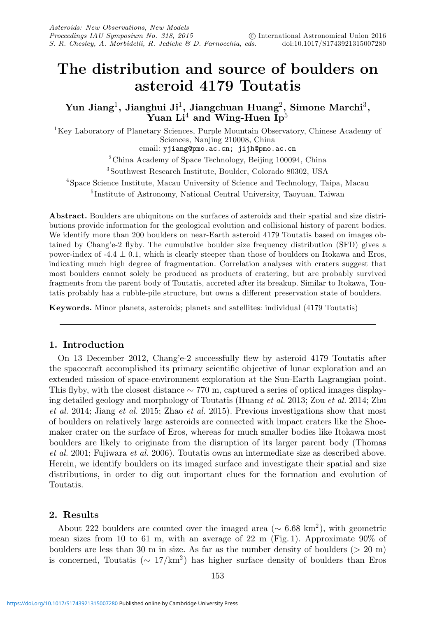# **The distribution and source of boulders on asteroid 4179 Toutatis**

# **Yun Jiang**1**, Jianghui Ji**1**, Jiangchuan Huang**2**, Simone Marchi**3**,** Yuan Li<sup>4</sup> and Wing-Huen Ip<sup>5</sup>

1Key Laboratory of Planetary Sciences, Purple Mountain Observatory, Chinese Academy of Sciences, Nanjing 210008, China email: yjiang@pmo.ac.cn; jijh@pmo.ac.cn

 $2^2$ China Academy of Space Technology, Beijing 100094, China

3Southwest Research Institute, Boulder, Colorado 80302, USA

4Space Science Institute, Macau University of Science and Technology, Taipa, Macau

<sup>5</sup> Institute of Astronomy, National Central University, Taoyuan, Taiwan

**Abstract.** Boulders are ubiquitous on the surfaces of asteroids and their spatial and size distributions provide information for the geological evolution and collisional history of parent bodies. We identify more than 200 boulders on near-Earth asteroid 4179 Toutatis based on images obtained by Chang'e-2 flyby. The cumulative boulder size frequency distribution (SFD) gives a power-index of  $-4.4 \pm 0.1$ , which is clearly steeper than those of boulders on Itokawa and Eros, indicating much high degree of fragmentation. Correlation analyses with craters suggest that most boulders cannot solely be produced as products of cratering, but are probably survived fragments from the parent body of Toutatis, accreted after its breakup. Similar to Itokawa, Toutatis probably has a rubble-pile structure, but owns a different preservation state of boulders.

**Keywords.** Minor planets, asteroids; planets and satellites: individual (4179 Toutatis)

## **1. Introduction**

On 13 December 2012, Chang'e-2 successfully flew by asteroid 4179 Toutatis after the spacecraft accomplished its primary scientific objective of lunar exploration and an extended mission of space-environment exploration at the Sun-Earth Lagrangian point. This flyby, with the closest distance ∼ 770 m, captured a series of optical images displaying detailed geology and morphology of Toutatis (Huang et al. 2013; Zou et al. 2014; Zhu et al. 2014; Jiang et al. 2015; Zhao et al. 2015). Previous investigations show that most of boulders on relatively large asteroids are connected with impact craters like the Shoemaker crater on the surface of Eros, whereas for much smaller bodies like Itokawa most boulders are likely to originate from the disruption of its larger parent body (Thomas et al. 2001; Fujiwara et al. 2006). Toutatis owns an intermediate size as described above. Herein, we identify boulders on its imaged surface and investigate their spatial and size distributions, in order to dig out important clues for the formation and evolution of Toutatis.

# **2. Results**

About 222 boulders are counted over the imaged area ( $\sim 6.68 \text{ km}^2$ ), with geometric mean sizes from 10 to 61 m, with an average of 22 m (Fig. 1). Approximate 90% of boulders are less than 30 m in size. As far as the number density of boulders (> 20 m) is concerned, Toutatis ( $\sim 17/\text{km}^2$ ) has higher surface density of boulders than Eros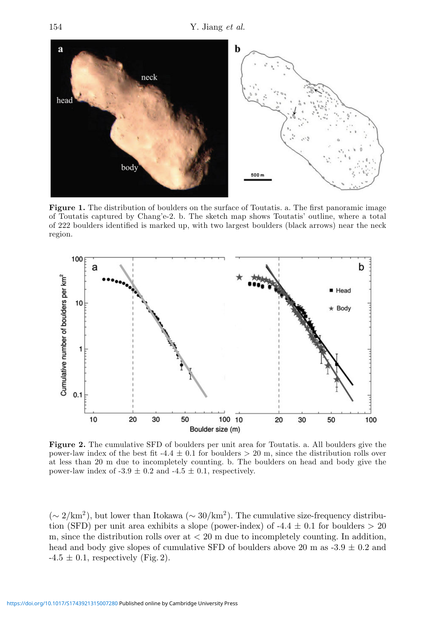

**Figure 1.** The distribution of boulders on the surface of Toutatis. a. The first panoramic image of Toutatis captured by Chang'e-2. b. The sketch map shows Toutatis' outline, where a total of 222 boulders identified is marked up, with two largest boulders (black arrows) near the neck region.



**Figure 2.** The cumulative SFD of boulders per unit area for Toutatis. a. All boulders give the power-law index of the best fit  $-4.4 \pm 0.1$  for boulders  $> 20$  m, since the distribution rolls over at less than 20 m due to incompletely counting. b. The boulders on head and body give the power-law index of  $-3.9 \pm 0.2$  and  $-4.5 \pm 0.1$ , respectively.

 $({\sim}2/\text{km}^2)$ , but lower than Itokawa ( ${\sim}30/\text{km}^2$ ). The cumulative size-frequency distribution (SFD) per unit area exhibits a slope (power-index) of -4.4  $\pm$  0.1 for boulders  $> 20$ m, since the distribution rolls over  $at < 20$  m due to incompletely counting. In addition, head and body give slopes of cumulative SFD of boulders above 20 m as  $-3.9 \pm 0.2$  and  $-4.5 \pm 0.1$ , respectively (Fig. 2).